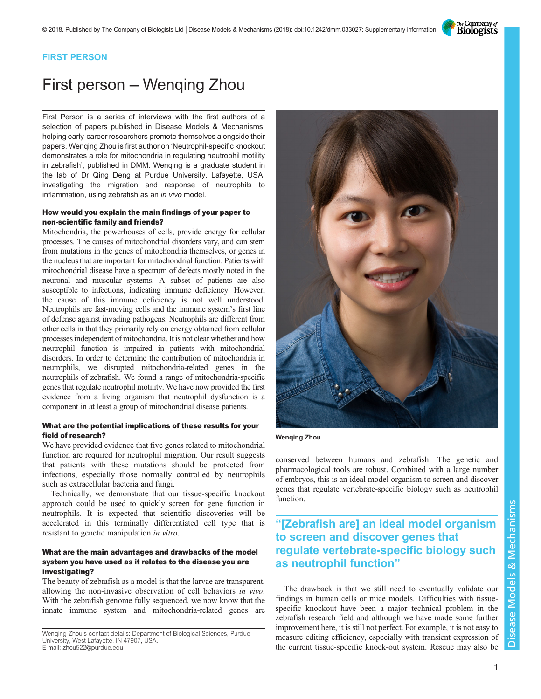The Company of<br>**Biologists** 

### FIRST PERSON

# First person – Wenqing Zhou

First Person is a series of interviews with the first authors of a selection of papers published in Disease Models & Mechanisms, helping early-career researchers promote themselves alongside their papers. Wenqing Zhou is first author on '[Neutrophil-specific knockout](#page-1-0) [demonstrates a role for mitochondria in regulating neutrophil motility](#page-1-0) [in zebrafish](#page-1-0)', published in DMM. Wenqing is a graduate student in the lab of Dr Qing Deng at Purdue University, Lafayette, USA, investigating the migration and response of neutrophils to inflammation, using zebrafish as an in vivo model.

### How would you explain the main findings of your paper to non-scientific family and friends?

Mitochondria, the powerhouses of cells, provide energy for cellular processes. The causes of mitochondrial disorders vary, and can stem from mutations in the genes of mitochondria themselves, or genes in the nucleus that are important for mitochondrial function. Patients with mitochondrial disease have a spectrum of defects mostly noted in the neuronal and muscular systems. A subset of patients are also susceptible to infections, indicating immune deficiency. However, the cause of this immune deficiency is not well understood. Neutrophils are fast-moving cells and the immune system's first line of defense against invading pathogens. Neutrophils are different from other cells in that they primarily rely on energy obtained from cellular processes independent of mitochondria. It is not clear whether and how neutrophil function is impaired in patients with mitochondrial disorders. In order to determine the contribution of mitochondria in neutrophils, we disrupted mitochondria-related genes in the neutrophils of zebrafish. We found a range of mitochondria-specific genes that regulate neutrophil motility. We have now provided the first evidence from a living organism that neutrophil dysfunction is a component in at least a group of mitochondrial disease patients.

### What are the potential implications of these results for your field of research?

We have provided evidence that five genes related to mitochondrial function are required for neutrophil migration. Our result suggests that patients with these mutations should be protected from infections, especially those normally controlled by neutrophils such as extracellular bacteria and fungi.

Technically, we demonstrate that our tissue-specific knockout approach could be used to quickly screen for gene function in neutrophils. It is expected that scientific discoveries will be accelerated in this terminally differentiated cell type that is resistant to genetic manipulation in vitro.

### What are the main advantages and drawbacks of the model system you have used as it relates to the disease you are investigating?

The beauty of zebrafish as a model is that the larvae are transparent, allowing the non-invasive observation of cell behaviors in vivo. With the zebrafish genome fully sequenced, we now know that the innate immune system and mitochondria-related genes are

Wenqing Zhou's contact details: Department of Biological Sciences, Purdue University, West Lafayette, IN 47907, USA. E-mail: [zhou522@purdue.edu](mailto:zhou522@purdue.edu)



Wenqing Zhou

conserved between humans and zebrafish. The genetic and pharmacological tools are robust. Combined with a large number of embryos, this is an ideal model organism to screen and discover genes that regulate vertebrate-specific biology such as neutrophil function.

## "[Zebrafish are] an ideal model organism to screen and discover genes that regulate vertebrate-specific biology such as neutrophil function"

The drawback is that we still need to eventually validate our findings in human cells or mice models. Difficulties with tissuespecific knockout have been a major technical problem in the zebrafish research field and although we have made some further improvement here, it is still not perfect. For example, it is not easy to measure editing efficiency, especially with transient expression of the current tissue-specific knock-out system. Rescue may also be